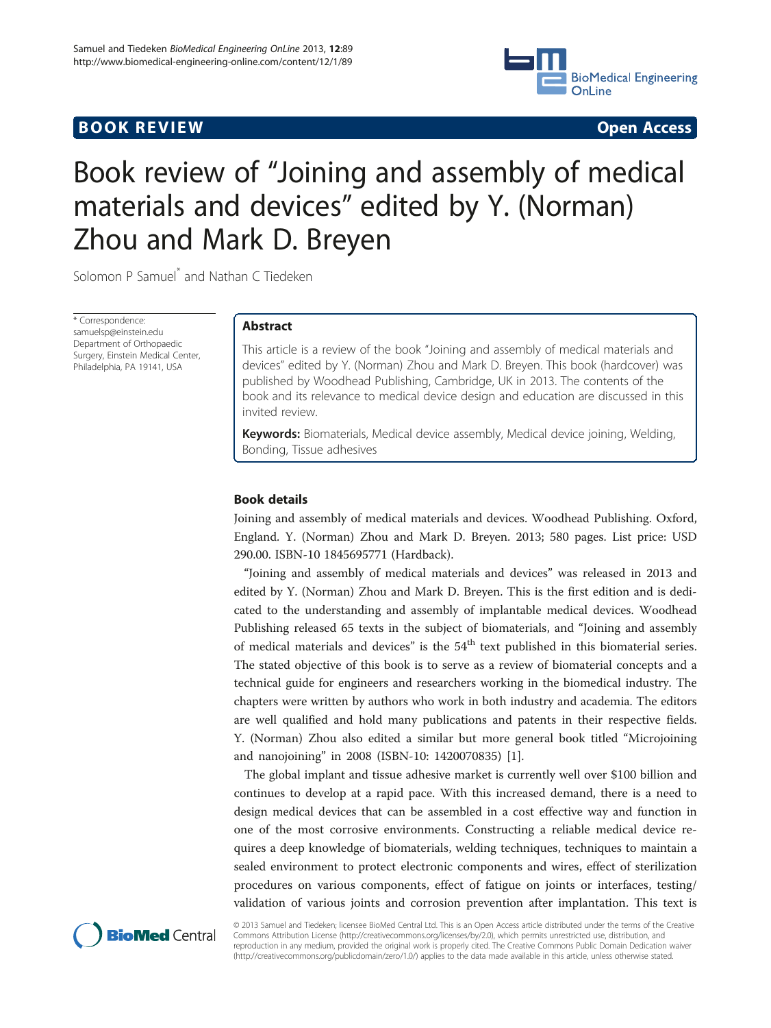## **BOOK REVIEW CONTROL** BOOK REVIEW



# Book review of "Joining and assembly of medical materials and devices" edited by Y. (Norman) Zhou and Mark D. Breyen

Solomon P Samuel<sup>\*</sup> and Nathan C Tiedeken

\* Correspondence: samuelsp@einstein.edu Department of Orthopaedic Surgery, Einstein Medical Center, Philadelphia, PA 19141, USA

## Abstract

This article is a review of the book "Joining and assembly of medical materials and devices" edited by Y. (Norman) Zhou and Mark D. Breyen. This book (hardcover) was published by Woodhead Publishing, Cambridge, UK in 2013. The contents of the book and its relevance to medical device design and education are discussed in this invited review.

Keywords: Biomaterials, Medical device assembly, Medical device joining, Welding, Bonding, Tissue adhesives

### Book details

Joining and assembly of medical materials and devices. Woodhead Publishing. Oxford, England. Y. (Norman) Zhou and Mark D. Breyen. 2013; 580 pages. List price: USD 290.00. ISBN-10 1845695771 (Hardback).

"Joining and assembly of medical materials and devices" was released in 2013 and edited by Y. (Norman) Zhou and Mark D. Breyen. This is the first edition and is dedicated to the understanding and assembly of implantable medical devices. Woodhead Publishing released 65 texts in the subject of biomaterials, and "Joining and assembly of medical materials and devices" is the  $54<sup>th</sup>$  text published in this biomaterial series. The stated objective of this book is to serve as a review of biomaterial concepts and a technical guide for engineers and researchers working in the biomedical industry. The chapters were written by authors who work in both industry and academia. The editors are well qualified and hold many publications and patents in their respective fields. Y. (Norman) Zhou also edited a similar but more general book titled "Microjoining and nanojoining" in 2008 (ISBN-10: 1420070835) [[1\]](#page-2-0).

The global implant and tissue adhesive market is currently well over \$100 billion and continues to develop at a rapid pace. With this increased demand, there is a need to design medical devices that can be assembled in a cost effective way and function in one of the most corrosive environments. Constructing a reliable medical device requires a deep knowledge of biomaterials, welding techniques, techniques to maintain a sealed environment to protect electronic components and wires, effect of sterilization procedures on various components, effect of fatigue on joints or interfaces, testing/ validation of various joints and corrosion prevention after implantation. This text is



© 2013 Samuel and Tiedeken; licensee BioMed Central Ltd. This is an Open Access article distributed under the terms of the Creative Commons Attribution License [\(http://creativecommons.org/licenses/by/2.0\)](http://creativecommons.org/licenses/by/2.0), which permits unrestricted use, distribution, and reproduction in any medium, provided the original work is properly cited. The Creative Commons Public Domain Dedication waiver [\(http://creativecommons.org/publicdomain/zero/1.0/](http://creativecommons.org/publicdomain/zero/1.0/)) applies to the data made available in this article, unless otherwise stated.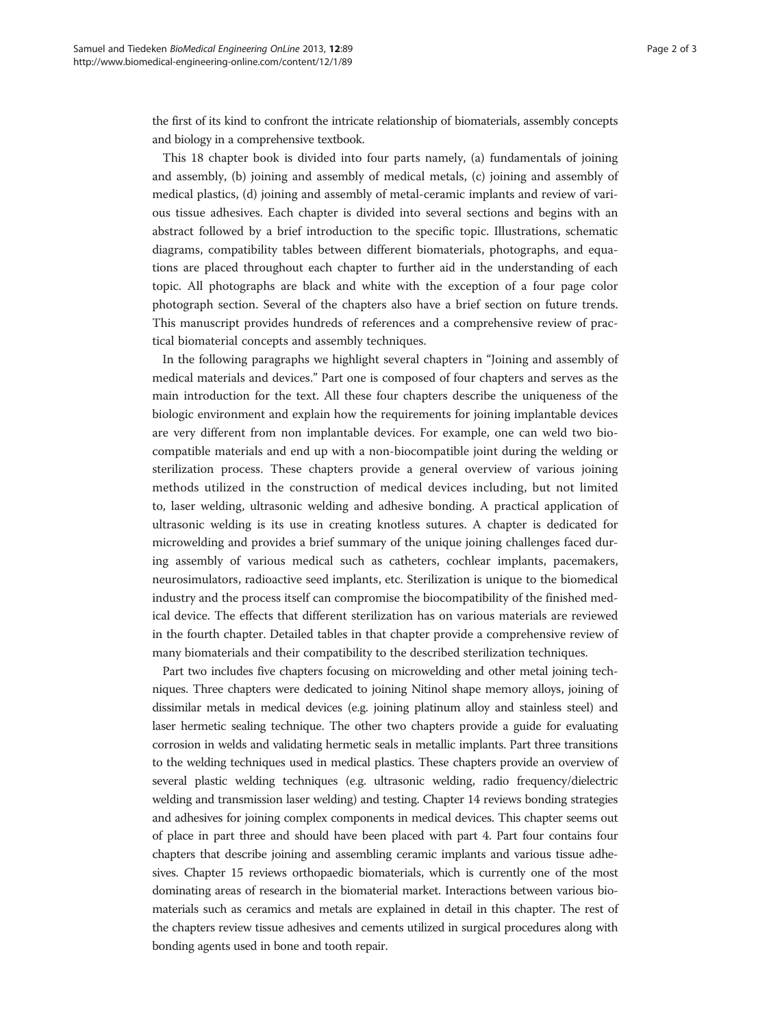the first of its kind to confront the intricate relationship of biomaterials, assembly concepts and biology in a comprehensive textbook.

This 18 chapter book is divided into four parts namely, (a) fundamentals of joining and assembly, (b) joining and assembly of medical metals, (c) joining and assembly of medical plastics, (d) joining and assembly of metal-ceramic implants and review of various tissue adhesives. Each chapter is divided into several sections and begins with an abstract followed by a brief introduction to the specific topic. Illustrations, schematic diagrams, compatibility tables between different biomaterials, photographs, and equations are placed throughout each chapter to further aid in the understanding of each topic. All photographs are black and white with the exception of a four page color photograph section. Several of the chapters also have a brief section on future trends. This manuscript provides hundreds of references and a comprehensive review of practical biomaterial concepts and assembly techniques.

In the following paragraphs we highlight several chapters in "Joining and assembly of medical materials and devices." Part one is composed of four chapters and serves as the main introduction for the text. All these four chapters describe the uniqueness of the biologic environment and explain how the requirements for joining implantable devices are very different from non implantable devices. For example, one can weld two biocompatible materials and end up with a non-biocompatible joint during the welding or sterilization process. These chapters provide a general overview of various joining methods utilized in the construction of medical devices including, but not limited to, laser welding, ultrasonic welding and adhesive bonding. A practical application of ultrasonic welding is its use in creating knotless sutures. A chapter is dedicated for microwelding and provides a brief summary of the unique joining challenges faced during assembly of various medical such as catheters, cochlear implants, pacemakers, neurosimulators, radioactive seed implants, etc. Sterilization is unique to the biomedical industry and the process itself can compromise the biocompatibility of the finished medical device. The effects that different sterilization has on various materials are reviewed in the fourth chapter. Detailed tables in that chapter provide a comprehensive review of many biomaterials and their compatibility to the described sterilization techniques.

Part two includes five chapters focusing on microwelding and other metal joining techniques. Three chapters were dedicated to joining Nitinol shape memory alloys, joining of dissimilar metals in medical devices (e.g. joining platinum alloy and stainless steel) and laser hermetic sealing technique. The other two chapters provide a guide for evaluating corrosion in welds and validating hermetic seals in metallic implants. Part three transitions to the welding techniques used in medical plastics. These chapters provide an overview of several plastic welding techniques (e.g. ultrasonic welding, radio frequency/dielectric welding and transmission laser welding) and testing. Chapter 14 reviews bonding strategies and adhesives for joining complex components in medical devices. This chapter seems out of place in part three and should have been placed with part 4. Part four contains four chapters that describe joining and assembling ceramic implants and various tissue adhesives. Chapter 15 reviews orthopaedic biomaterials, which is currently one of the most dominating areas of research in the biomaterial market. Interactions between various biomaterials such as ceramics and metals are explained in detail in this chapter. The rest of the chapters review tissue adhesives and cements utilized in surgical procedures along with bonding agents used in bone and tooth repair.